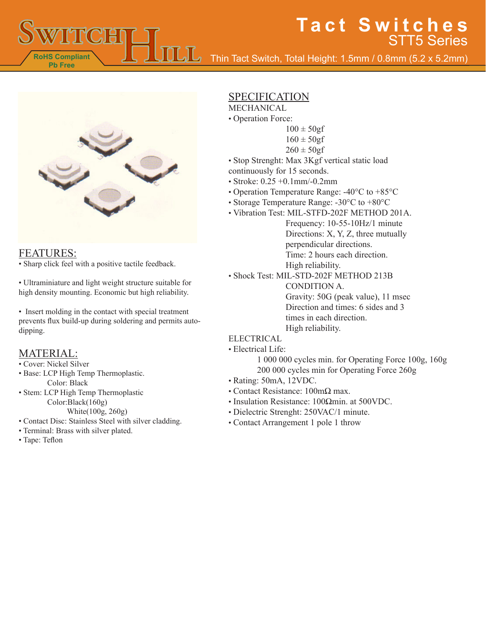Thin Tact Switch, Total Height: 1.5mm / 0.8mm (5.2 x 5.2mm)



#### FEATURES:

**RoHS Compliant Pb Free**

• Sharp click feel with a positive tactile feedback.

• Ultraminiature and light weight structure suitable for high density mounting. Economic but high reliability.

• Insert molding in the contact with special treatment prevents flux build-up during soldering and permits autodipping.

### MATERIAL:

#### • Cover: Nickel Silver

- Base: LCP High Temp Thermoplastic. Color: Black
- Stem: LCP High Temp Thermoplastic Color:Black(160g) White(100g, 260g)
	-
- Contact Disc: Stainless Steel with silver cladding.
- Terminal: Brass with silver plated.
- Tape: Teflon

## SPECIFICATION

### MECHANICAL

- Operation Force:
	- $100 \pm 50$ gf
		- $160 \pm 50gf$
		- $260 \pm 50$ gf
- Stop Strenght: Max 3Kgf vertical static load
- continuously for 15 seconds.
- Stroke: 0.25 +0.1mm/-0.2mm
- Operation Temperature Range: -40°C to +85°C
- Storage Temperature Range: -30°C to +80°C
- Vibration Test: MIL-STFD-202F METHOD 201A.

Frequency: 10-55-10Hz/1 minute Directions: X, Y, Z, three mutually perpendicular directions. Time: 2 hours each direction. High reliability.

• Shock Test: MIL-STD-202F METHOD 213B

CONDITION A. Gravity: 50G (peak value), 11 msec Direction and times: 6 sides and 3

times in each direction.

High reliability.

#### ELECTRICAL

• Electrical Life:

1 000 000 cycles min. for Operating Force 100g, 160g 200 000 cycles min for Operating Force 260g

- Rating: 50mA, 12VDC.
- Contact Resistance: 100mΩ max.
- Insulation Resistance: 100Ωmin. at 500VDC.
- Dielectric Strenght: 250VAC/1 minute.
- Contact Arrangement 1 pole 1 throw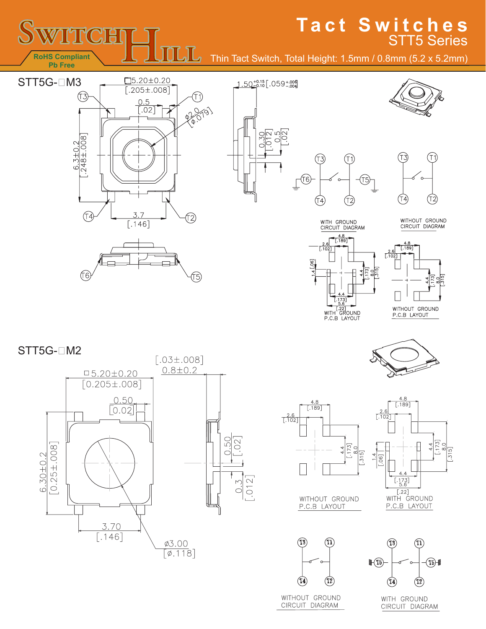

# **Tact Switches** STT5 Series

Thin Tact Switch, Total Height: 1.5mm / 0.8mm (5.2 x 5.2mm)

 $(13)$ 

(T4)

 $\underbrace{\top} \widehat{\textbf{U}6}$ 

 $1.50^{+0.15}_{-0.10}$  . 059 + 006

 $\mathbb{N}$  $rac{5}{0}$ 

 $\supset$ 







WITHOUT GROUND<br>CIRCUIT DIAGRAM



(T1)

(T2)

(T5)



STT5G-□M2





4.8

 $[.189]$ 

 $\frac{2.6}{1.102}$ 



WITHOUT GROUND P.C.B LAYOUT

 $\boxed{012}$ 



WITHOUT GROUND

CIRCUIT DIAGRAM



 $\frac{4.4}{173}$ 

 $\boxed{5}$ 



 $\left|\mathbb{F}(\mathbb{T}_5)\right|$   $\left|\mathbb{F}(\mathbb{T}_5)\right|$ 

CIRCUIT DIAGRAM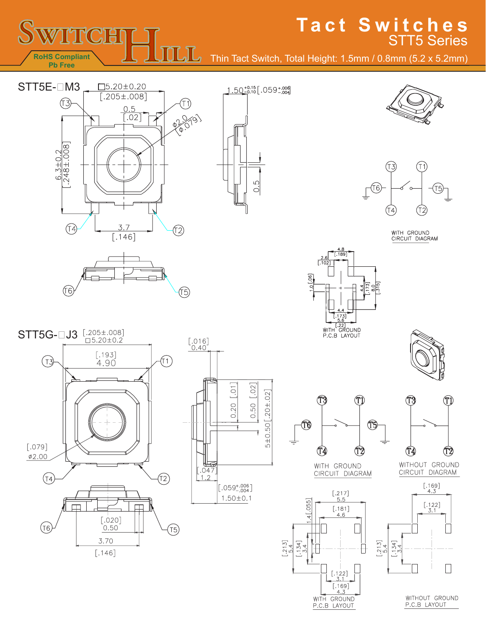

WITHOUT GROUND P.C.B LAYOUT

WITH GROUND

P.C.B LAYOUT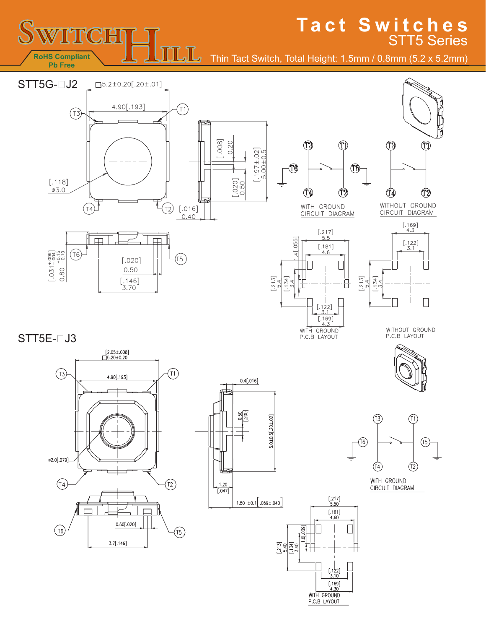

# **Tact Switches** STT5 Series

Thin Tact Switch, Total Height: 1.5mm / 0.8mm (5.2 x 5.2mm)

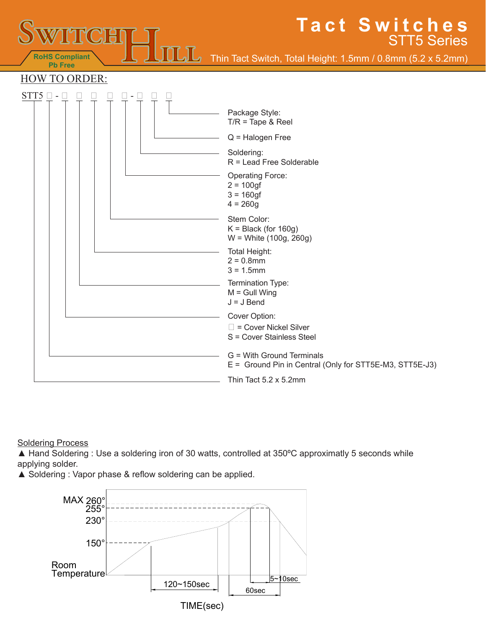

#### **Soldering Process**

▲ Hand Soldering : Use a soldering iron of 30 watts, controlled at 350°C approximatly 5 seconds while applying solder.

▲ Soldering : Vapor phase & reflow soldering can be applied.